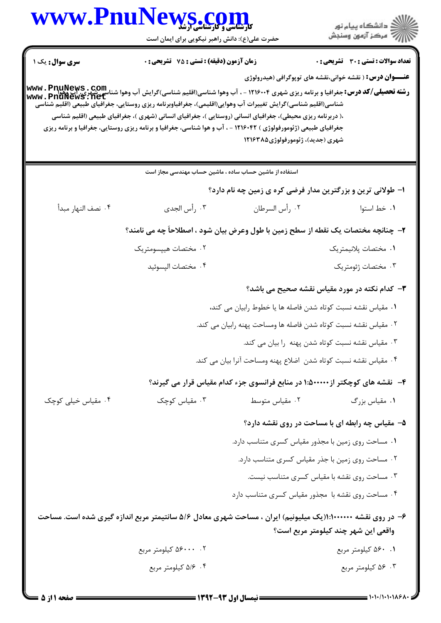## www.PnuNews.co

حضرت علی(ع): دانش راهبر نیکویی برای ایمان است

**تعداد سوالات : تستی : 30 ٪ تشریحی : 0** سری سوال : یک ۱ **زمان آزمون (دقیقه) : تستی : 75 تشریحی: 0 عنـــوان درس:** ( نقشه خواني،نقشه هاي توپوگرافي (هيدرولوژي www.Pnunews.net شناسی(اقلیم شناسی)گرایش تغییرات آب وهوایی(اقلیمی)، جغرافیاوبرنامه ریزی روستایی، جغرافیای طبیعی (اقلیم شناسی ،( دربرنامه ریزی محیطی)، جغرافیای انسانی (روستایی )، جغرافیای انسانی (شهری )، جغرافیای طبیعی (اقلیم شناسی جغرافیای طبیعی (ژئومورفولوژی ) ۱۲۱۶۰۴۲ - ، آب و هوا شناسی، جغرافیا و برنامه ریزی روستایی، جغرافیا و برنامه ریزی شهري (جديد)، ژئومورفولوژي ۱۲۱۶۳۸۵ استفاده از ماشین حساب ساده ، ماشین حساب مهندسی مجاز است ا– طولانی ترین و بزرگترین مدار فرضی کره ی زمین چه نام دارد؟ ۰۴ نصف النها, مبدأ ۰۳ , أس الجدي ٢. ,أس السرطان ٠١. خط استوا ٢- چنانچه مختصات یک نقطه از سطح زمین با طول وعرض بیان شود ، اصطلاحاً چه می نامند؟ ۰۲ مختصات هییسومتریک ٠١. مختصات بلانيمتر بک ۰۴ مختصات اليسوئيد ۰۳ مختصات ژئومتریک **۳**– کدام نکته در مورد مقیاس نقشه صحیح می باشد؟ ٠. مقياس نقشه نسبت كوتاه شدن فاصله ها يا خطوط رابيان مي كند، ٢٠ مقياس نقشه نسبت كوتاه شدن فاصله ها ومساحت پهنه رابيان مي كند. ۰۳ مقیاس نقشه نسبت کوتاه شدن پهنه را بیان می کند. ۰۴ مقیاس نقشه نسبت کوتاه شدن اضلاع یهنه ومساحت آنرا بیان می کند. ۴- نقشه های کوچکتر از3۰۰۰۰۰:۱۰ در منابع فرانسوی جزء کدام مقیاس قرار می گیرند؟ ۰۴ مقیاس خیلی کوچک ۰۳ مقیاس کوچک ۰۲ مقیاس متوسط ۰۱ مقیاس بزرگ ۵- مقیاس چه رابطه ای با مساحت در روی نقشه دارد؟ ۰۱ مساحت روی زمین با مجذور مقیاس کسری متناسب دارد. ۰۲ مساحت روی زمین با جذر مقیاس کسری متناسب دارد. ۰۳ مساحت روی نقشه با مقیاس کسری متناسب نیست. ۰۴ مساحت روی نقشه با مجذور مقیاس کسری متناسب دارد ۶– در روی نقشه ۱۰۰۰۰۰۰۰: ((یک میلیونیم) ایران ، مساحت شهری معادل ۵/۶ سانتیمتر مربع اندازه گیری شده است. مساحت واقعي اين شهر چند كيلومتر مربع است؟ ۰۲ ۵۶۰۰۰ کیلومتر مربع ۰۱ ۵۶۰ کیلومتر مربع ۰۴ /۵/۶ کیلومتر مربع ۰۳ ۵۶ کیلومتر مربع

ے دانشگاہ پیام نو**ر** أأأأأ مركز آزمون وسنجش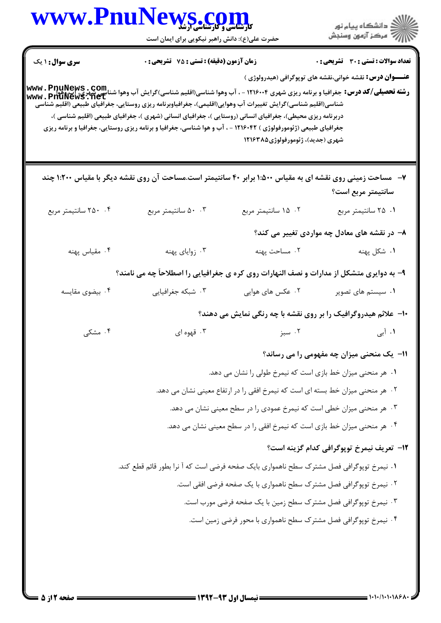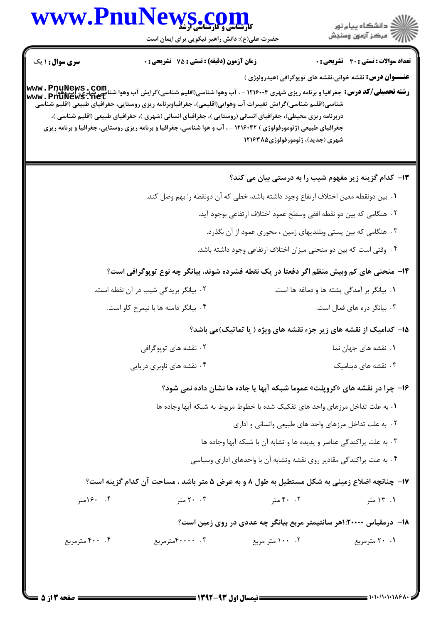## www.PnuNews.co

حضرت علی(ع): دانش راهبر نیکویی برای ایمان است



**تعداد سوالات : تستی : 30 ٪ تشریحی : 0 سری سوال : ۱ یک زمان آزمون (دقیقه) : تستی : 75 تشریحی: 0 عنـــوان درس:** نقشه خوانی،نقشه های توپوگرافی (هیدرولوژی ) **رشته تحصیلی/کد درس:** جغرافیا و برنامه ریزی شهری ۱۲۱۶۰۰۴ - ، آب وهوا شناسی(اقلیم شناسی)گرایش آب وهوا شناسی شهری، اب وهوا<br>د **شته تحصیلی/کد درس:** جغرافیا و برنامه ریزی شهری ۱۲۱۶۰۰۴ - ، آب وهوا شناسی(اقلیم شناسی)گرایش واسی ش www.PnüNews.net شناسی(اقلیم شناسی)گرایش تغییرات آب وهوایی(اقلیمی)، جغرافیاوبرنامه ریزی روستایی، جغرافیای طبیعی (اقلیم شناسی دربرنامه ریزی محیطی)، جغرافیای انسانی (روستایی )، جغرافیای انسانی (شهری )، جغرافیای طبیعی (اقلیم شناسی )، جغرافیای طبیعی (ژئومورفولوژی ) ۱۲۱۶۰۴۲ - ، آب و هوا شناسی، جغرافیا و برنامه ریزی روستایی، جغرافیا و برنامه ریزی شهري (جديد)، ژئومورفولوژي ۱۲۱۶۳۸۵ ۱۳- کدام گزینه زیر مفهوم شیب را به درستی بیان می کند؟ ١. بين دونقطه معين اختلاف ارتفاع وجود داشته باشد، خطى كه آن دونقطه را بهم وصل كند. ٢٠. هنگامي كه بين دو نقطه افقي وسطح عمود اختلاف ارتفاعي بوجود آيد. ۰۳ هنگامی که بین پستی وبلندیهای زمین ، محوری عمود از آن بگذرد. ۰۴ وقتی است که بین دو منحنی میزان اختلاف ارتفاعی وجود داشته باشد. ۱۴- منحنے مای کم وییش منظم اگر دفعتا در یک نقطه فشرده شوند، بیانگر چه نوع توپوگرافی است؟ ٢. بيانگر بريدگي شيب در آن نقطه است. ۰۱ بیانگر بر آمدگی پشته ها و دماغه ها است. ۰۴ بیانگر دامنه ها با نیمرخ کاو است. ۰۳ بیانگر دره های فعال است. ۱۵- کدامیک از نقشه های زیر جزء نقشه های ویژه ( یا تماتیک)می باشد؟ ۰۱ نقشه های جهان نما ۲۰ نقشه های توپوگرافی ۰۳ نقشه های دینامیک ۰۴ نقشه های ناوبری دریایی ۱۶- چرا در نقشه های «کروپلت» عموما شبکه آبها یا جاده ها نشان داده نمی شود؟ ١. به علت تداخل مرزهاي واحد هاي تفكيك شده با خطوط مربوط به شبكه آبها وجاده ها ۲. به علت تداخل مرزهای واحد های طبیعی وانسانی و اداری ۰۳ به علت پراکندگی عناصر و پدیده ها و تشابه آن با شبکه آبها وجاده ها ۰۴ به علت پراکندگی مقادیر روی نقشه وتشابه آن با واحدهای اداری وسیاسی ۱۷- چنانچه اضلاع زمینی به شکل مستطیل به طول ۸ و به عرض ۵ متر باشد ، مساحت آن کدام گزینه است؟ ۰۴ ۱۶۰متر ۰۲ ۴۰ متر ۰۱ ۱۳ متر ۰. ۲۰ متر ۱۸− درمقیاس ۲۰۰۰۰:۱هر سانتیمتر مربع بیانگر چه عددی در روی زمین است؟ ۴۰۰ مترمربع ۰۳ . ۴۰۰۰۰ مترمربع ۰۲ ۱۰۰ متر مربع ۰۱ ۲۰ مترمربع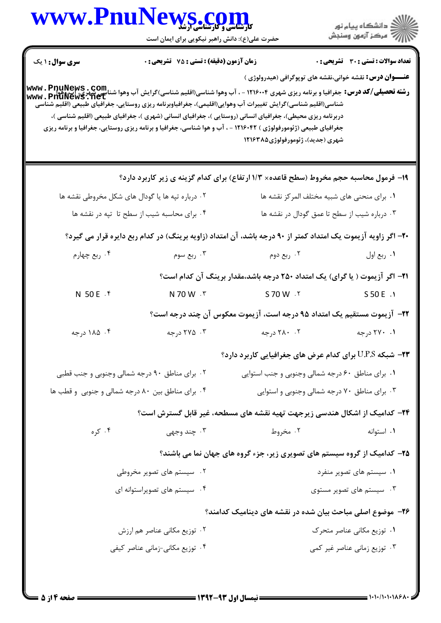## WWW.PnuNews.com

| WWW.FNUIN                                        | <b>کارشناسی و کارشناسی ارشد</b><br>حضرت علی(ع): دانش راهبر نیکویی برای ایمان است |                                                                                                                                                                                                                                                                                                                                        | ڪ دانشڪاه پيام نور<br>ر∕ = مرڪز آزمون وسنڊش      |  |
|--------------------------------------------------|----------------------------------------------------------------------------------|----------------------------------------------------------------------------------------------------------------------------------------------------------------------------------------------------------------------------------------------------------------------------------------------------------------------------------------|--------------------------------------------------|--|
| <b>سری سوال : ۱ یک</b>                           | <b>زمان آزمون (دقیقه) : تستی : 75 ٪ تشریحی : 0</b>                               |                                                                                                                                                                                                                                                                                                                                        | تعداد سوالات : تستي : 30 ٪ تشريحي : 0            |  |
|                                                  |                                                                                  | <b>عنـــوان درس:</b> نقشه خوانی،نقشه های توپوگرافی (هیدرولوژی )<br><b>رشته تحصیلی/کد درس:</b> جغرافیا و برنامه ریزی شهری ۱۲۱۶۰۰۴ - ، آب وهوا شناسی(اقلیم شناسی)گرایش آب وهوا شناسی شهری، آب وهوا<br>www . PnuNewS . net<br>شناسی(اقلیم شناسی)گرایش تغییرات آب وهوایی(اقلیمی)، جغرافیاوبرنامه ریزی روستایی، جغرافیای طبیعی (اقلیم شناسی |                                                  |  |
|                                                  |                                                                                  | دربرنامه ریزی محیطی)، جغرافیای انسانی (روستایی )، جغرافیای انسانی (شهری )، جغرافیای طبیعی (اقلیم شناسی )،<br>جغرافیای طبیعی (ژئومورفولوژی ) ۱۲۱۶۰۴۲ - ، آب و هوا شناسی، جغرافیا و برنامه ریزی روستایی، جغرافیا و برنامه ریزی<br>شهری (جدید)، ژئومورفولوژی۱۲۱۶۳۸۵                                                                       |                                                  |  |
|                                                  |                                                                                  | ۱۹- فرمول محاسبه حجم مخروط (سطح قاعده× ۱/۳ ارتفاع) برای کدام گزینه ی زیر کاربرد دارد؟                                                                                                                                                                                                                                                  |                                                  |  |
| ۰۲ درباره تپه ها یا گودال های شکل مخروطی نقشه ها |                                                                                  | ٠١. براى منحنى هاى شبيه مختلف المركز نقشه ها                                                                                                                                                                                                                                                                                           |                                                  |  |
| ۰۴ برای محاسبه شیب از سطح تا تپه در نقشه ها      |                                                                                  |                                                                                                                                                                                                                                                                                                                                        | ۰۳ درباره شیب از سطح تا عمق گودال در نقشه ها     |  |
|                                                  |                                                                                  | +۲- اگر زاویه آزیموت یک امتداد کمتر از ۹۰ درجه باشد، آن امتداد (زاویه برینگ) در کدام ربع دایره قرار می گیرد؟                                                                                                                                                                                                                           |                                                  |  |
| ۰۴ ربع چهارم                                     | ۰۳ ربع سوم                                                                       | ۰۲ ربع دوم                                                                                                                                                                                                                                                                                                                             | ۰۱ ربع اول                                       |  |
|                                                  |                                                                                  | <b>۲۱</b> – اگر آزیموت ( یا گرای) یک امتداد ۲۵۰ درجه باشد،مقدار برینگ آن کدام است؟                                                                                                                                                                                                                                                     |                                                  |  |
| N 50 E . F                                       | N 70 W . ٣                                                                       | S 70 W . Y                                                                                                                                                                                                                                                                                                                             | S 50 E .1                                        |  |
|                                                  |                                                                                  | ۲۲– آزیموت مستقیم یک امتداد ۹۵ درجه است، آزیموت معکوس آن چند درجه است؟                                                                                                                                                                                                                                                                 |                                                  |  |
| ۰۴ ۱۸۵ درجه                                      | ۰۳ درجه                                                                          | ۲. ۲۸۰ درجه                                                                                                                                                                                                                                                                                                                            | ۰۱ ۲۷۰ درجه                                      |  |
|                                                  |                                                                                  | <b>۲۳</b> – شبکه U.P.S برای کدام عرض های جغرافیایی کاربرد دارد؟                                                                                                                                                                                                                                                                        |                                                  |  |
| ۰۲ برای مناطق ۹۰ درجه شمالی وجنوبی و جنب قطبی    |                                                                                  |                                                                                                                                                                                                                                                                                                                                        | ۰۱ برای مناطق ۶۰ درجه شمالی وجنوبی و جنب استوایی |  |
| ۰۴ برای مناطق بین ۸۰ درجه شمالی و جنوبی و قطب ها |                                                                                  |                                                                                                                                                                                                                                                                                                                                        | ۰۳ برای مناطق ۷۰ درجه شمالی وجنوبی و استوایی     |  |
|                                                  |                                                                                  | ۲۴– کدامیک از اشکال هندسی زیرجهت تهیه نقشه های مسطحه، غیر قابل گسترش است؟                                                                                                                                                                                                                                                              |                                                  |  |
| ۰۴ کره                                           | ۰۳ چند وجهي                                                                      | ۰۲ مخروط                                                                                                                                                                                                                                                                                                                               | ۰۱ استوانه                                       |  |
|                                                  |                                                                                  | ۲۵- کدامیک از گروه سیستم های تصویری زیر، جزء گروه های جهان نما می باشند؟                                                                                                                                                                                                                                                               |                                                  |  |
| ۰۲ سیستم های تصویر مخروطی                        |                                                                                  |                                                                                                                                                                                                                                                                                                                                        | ۰۱ سیستم های تصویر منفرد                         |  |
| ۰۴ سیستم های تصویراستوانه ای                     |                                                                                  |                                                                                                                                                                                                                                                                                                                                        | ۰۳ سیستم های تصویر مستوی                         |  |
|                                                  |                                                                                  | ۲۶– موضوع اصلی مباحث بیان شده در نقشه های دینامیک کدامند؟                                                                                                                                                                                                                                                                              |                                                  |  |
|                                                  | ۰۲ توزیع مکانی عناصر هم ارزش                                                     |                                                                                                                                                                                                                                                                                                                                        | ۰۱ توزیع مکانی عناصر متحرک                       |  |
| ۰۴ توزیع مکانی-زمانی عناصر کیفی                  |                                                                                  |                                                                                                                                                                                                                                                                                                                                        | ۰۳ توزیع زمانی عناصر غیر کمی                     |  |